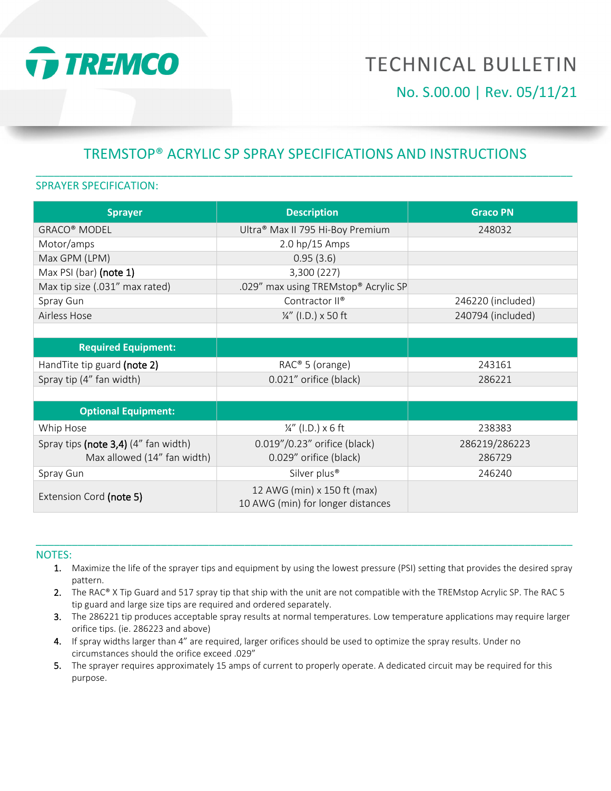

# **TECHNICAL BULLETIN** No. S.00.00 | Rev. 05/11/21

# TREMSTOP® ACRYLIC SP SPRAY SPECIFICATIONS AND INSTRUCTIONS \_\_\_\_\_\_\_\_\_\_\_\_\_\_\_\_\_\_\_\_\_\_\_\_\_\_\_\_\_\_\_\_\_\_\_\_\_\_\_\_\_\_\_\_\_\_\_\_\_\_\_\_\_\_\_\_\_\_\_\_\_\_\_\_\_\_\_\_\_\_\_\_\_\_\_\_\_\_\_\_\_\_\_\_\_\_\_\_\_\_

#### SPRAYER SPECIFICATION:

| <b>Sprayer</b>                          | <b>Description</b>                                               | <b>Graco PN</b>   |
|-----------------------------------------|------------------------------------------------------------------|-------------------|
| <b>GRACO® MODEL</b>                     | Ultra® Max II 795 Hi-Boy Premium                                 | 248032            |
| Motor/amps                              | $2.0$ hp/15 Amps                                                 |                   |
| Max GPM (LPM)                           | 0.95(3.6)                                                        |                   |
| Max PSI (bar) (note 1)                  | 3,300 (227)                                                      |                   |
| Max tip size (.031" max rated)          | .029" max using TREMstop® Acrylic SP                             |                   |
| Spray Gun                               | Contractor II®                                                   | 246220 (included) |
| Airless Hose                            | ¼" (I.D.) x 50 ft                                                | 240794 (included) |
|                                         |                                                                  |                   |
| <b>Required Equipment:</b>              |                                                                  |                   |
| Hand Tite tip guard (note 2)            | RAC® 5 (orange)                                                  | 243161            |
| Spray tip (4" fan width)                | 0.021" orifice (black)                                           | 286221            |
|                                         |                                                                  |                   |
| <b>Optional Equipment:</b>              |                                                                  |                   |
| Whip Hose                               | $\frac{1}{4}$ " (I.D.) x 6 ft                                    | 238383            |
| Spray tips (note $3,4$ ) (4" fan width) | 0.019"/0.23" orifice (black)                                     | 286219/286223     |
| Max allowed (14" fan width)             | 0.029" orifice (black)                                           | 286729            |
| Spray Gun                               | Silver plus <sup>®</sup>                                         | 246240            |
| Extension Cord (note 5)                 | 12 AWG (min) x 150 ft (max)<br>10 AWG (min) for longer distances |                   |

#### NOTES:

1. Maximize the life of the sprayer tips and equipment by using the lowest pressure (PSI) setting that provides the desired spray pattern.

\_\_\_\_\_\_\_\_\_\_\_\_\_\_\_\_\_\_\_\_\_\_\_\_\_\_\_\_\_\_\_\_\_\_\_\_\_\_\_\_\_\_\_\_\_\_\_\_\_\_\_\_\_\_\_\_\_\_\_\_\_\_\_\_\_\_\_\_\_\_\_\_\_\_\_\_\_\_\_\_\_\_\_\_\_\_\_\_\_\_

- 2. The RAC® X Tip Guard and 517 spray tip that ship with the unit are not compatible with the TREMstop Acrylic SP. The RAC 5 tip guard and large size tips are required and ordered separately.
- 3. The 286221 tip produces acceptable spray results at normal temperatures. Low temperature applications may require larger orifice tips. (ie. 286223 and above)
- 4. If spray widths larger than 4" are required, larger orifices should be used to optimize the spray results. Under no circumstances should the orifice exceed .029"
- 5. The sprayer requires approximately 15 amps of current to properly operate. A dedicated circuit may be required for this purpose.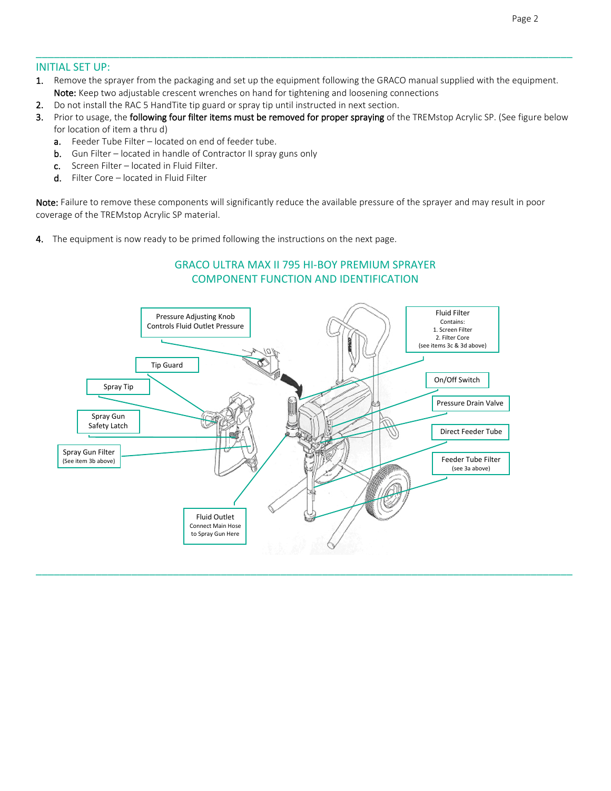#### INITIAL SET UP:

1. Remove the sprayer from the packaging and set up the equipment following the GRACO manual supplied with the equipment. Note: Keep two adjustable crescent wrenches on hand for tightening and loosening connections

\_\_\_\_\_\_\_\_\_\_\_\_\_\_\_\_\_\_\_\_\_\_\_\_\_\_\_\_\_\_\_\_\_\_\_\_\_\_\_\_\_\_\_\_\_\_\_\_\_\_\_\_\_\_\_\_\_\_\_\_\_\_\_\_\_\_\_\_\_\_\_\_\_\_\_\_\_\_\_\_\_\_\_\_\_\_\_\_\_\_

- 2. Do not install the RAC 5 HandTite tip guard or spray tip until instructed in next section.
- 3. Prior to usage, the following four filter items must be removed for proper spraying of the TREMstop Acrylic SP. (See figure below for location of item a thru d)
	- a. Feeder Tube Filter located on end of feeder tube.
	- **b.** Gun Filter located in handle of Contractor II spray guns only
	- c. Screen Filter located in Fluid Filter.
	- d. Filter Core located in Fluid Filter

Note: Failure to remove these components will significantly reduce the available pressure of the sprayer and may result in poor coverage of the TREMstop Acrylic SP material.

4. The equipment is now ready to be primed following the instructions on the next page.



\_\_\_\_\_\_\_\_\_\_\_\_\_\_\_\_\_\_\_\_\_\_\_\_\_\_\_\_\_\_\_\_\_\_\_\_\_\_\_\_\_\_\_\_\_\_\_\_\_\_\_\_\_\_\_\_\_\_\_\_\_\_\_\_\_\_\_\_\_\_\_\_\_\_\_\_\_\_\_\_\_\_\_\_\_\_\_\_\_\_

## GRACO ULTRA MAX II 795 HI-BOY PREMIUM SPRAYER COMPONENT FUNCTION AND IDENTIFICATION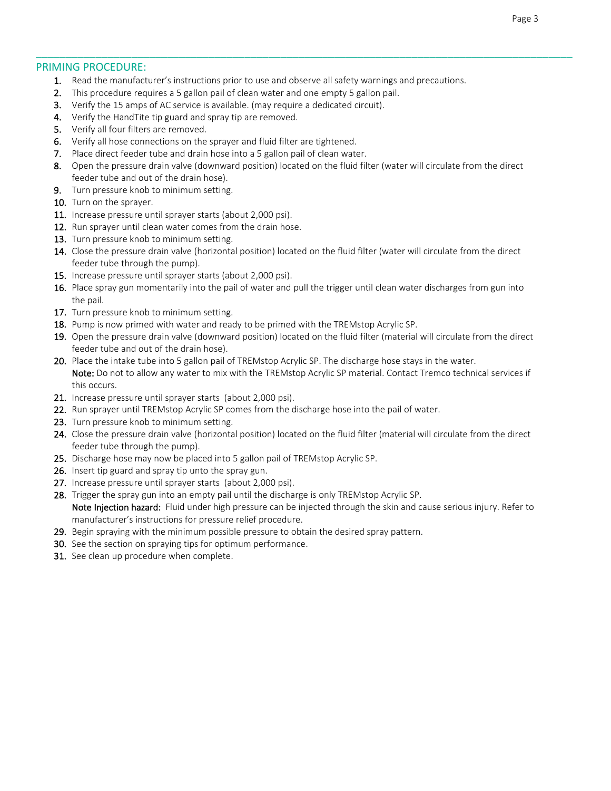#### PRIMING PROCEDURE:

- 1. Read the manufacturer's instructions prior to use and observe all safety warnings and precautions.
- 2. This procedure requires a 5 gallon pail of clean water and one empty 5 gallon pail.
- 3. Verify the 15 amps of AC service is available. (may require a dedicated circuit).
- 4. Verify the HandTite tip guard and spray tip are removed.
- 5. Verify all four filters are removed.
- 6. Verify all hose connections on the sprayer and fluid filter are tightened.
- 7. Place direct feeder tube and drain hose into a 5 gallon pail of clean water.
- 8. Open the pressure drain valve (downward position) located on the fluid filter (water will circulate from the direct feeder tube and out of the drain hose).

\_\_\_\_\_\_\_\_\_\_\_\_\_\_\_\_\_\_\_\_\_\_\_\_\_\_\_\_\_\_\_\_\_\_\_\_\_\_\_\_\_\_\_\_\_\_\_\_\_\_\_\_\_\_\_\_\_\_\_\_\_\_\_\_\_\_\_\_\_\_\_\_\_\_\_\_\_\_\_\_\_\_\_\_\_\_\_\_\_\_

- 9. Turn pressure knob to minimum setting.
- 10. Turn on the sprayer.
- 11. Increase pressure until sprayer starts (about 2,000 psi).
- 12. Run sprayer until clean water comes from the drain hose.
- 13. Turn pressure knob to minimum setting.
- 14. Close the pressure drain valve (horizontal position) located on the fluid filter (water will circulate from the direct feeder tube through the pump).
- 15. Increase pressure until sprayer starts (about 2,000 psi).
- 16. Place spray gun momentarily into the pail of water and pull the trigger until clean water discharges from gun into the pail.
- 17. Turn pressure knob to minimum setting.
- 18. Pump is now primed with water and ready to be primed with the TREMstop Acrylic SP.
- 19. Open the pressure drain valve (downward position) located on the fluid filter (material will circulate from the direct feeder tube and out of the drain hose).
- 20. Place the intake tube into 5 gallon pail of TREMstop Acrylic SP. The discharge hose stays in the water. Note: Do not to allow any water to mix with the TREMstop Acrylic SP material. Contact Tremco technical services if this occurs.
- 21. Increase pressure until sprayer starts (about 2,000 psi).
- 22. Run sprayer until TREMstop Acrylic SP comes from the discharge hose into the pail of water.
- 23. Turn pressure knob to minimum setting.
- 24. Close the pressure drain valve (horizontal position) located on the fluid filter (material will circulate from the direct feeder tube through the pump).
- 25. Discharge hose may now be placed into 5 gallon pail of TREMstop Acrylic SP.
- 26. Insert tip guard and spray tip unto the spray gun.
- 27. Increase pressure until sprayer starts (about 2,000 psi).
- 28. Trigger the spray gun into an empty pail until the discharge is only TREMstop Acrylic SP. Note Injection hazard: Fluid under high pressure can be injected through the skin and cause serious injury. Refer to manufacturer's instructions for pressure relief procedure.
- 29. Begin spraying with the minimum possible pressure to obtain the desired spray pattern.
- 30. See the section on spraying tips for optimum performance.
- 31. See clean up procedure when complete.